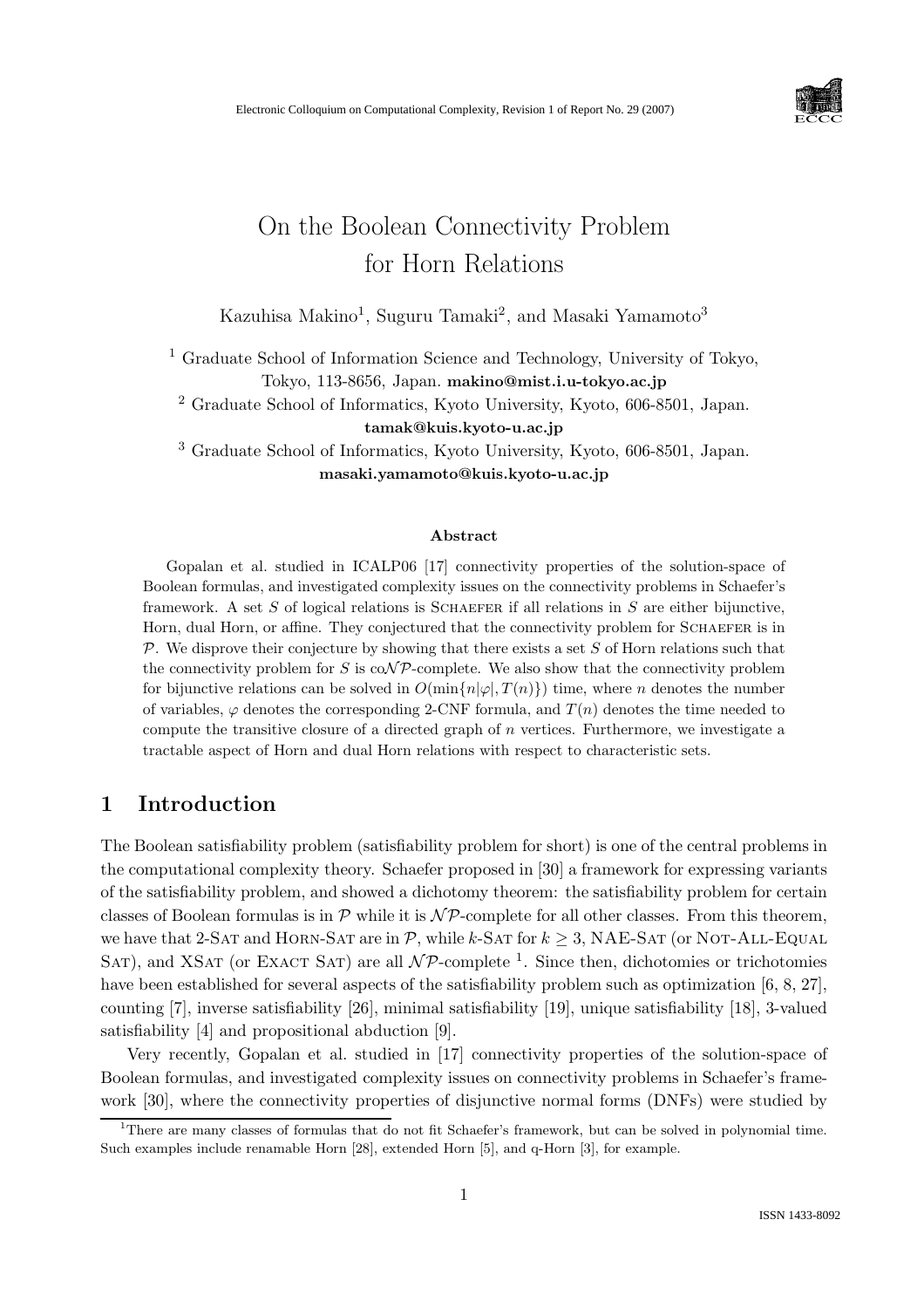

# On the Boolean Connectivity Problem for Horn Relations

Kazuhisa Makino<sup>1</sup>, Suguru Tamaki<sup>2</sup>, and Masaki Yamamoto<sup>3</sup>

<sup>1</sup> Graduate School of Information Science and Technology, University of Tokyo, Tokyo, 113-8656, Japan. makino@mist.i.u-tokyo.ac.jp

<sup>2</sup> Graduate School of Informatics, Kyoto University, Kyoto, 606-8501, Japan. tamak@kuis.kyoto-u.ac.jp

<sup>3</sup> Graduate School of Informatics, Kyoto University, Kyoto, 606-8501, Japan. masaki.yamamoto@kuis.kyoto-u.ac.jp

#### Abstract

Gopalan et al. studied in ICALP06 [17] connectivity properties of the solution-space of Boolean formulas, and investigated complexity issues on the connectivity problems in Schaefer's framework. A set  $S$  of logical relations is SCHAEFER if all relations in  $S$  are either bijunctive, Horn, dual Horn, or affine. They conjectured that the connectivity problem for SCHAEFER is in  $\mathcal P$ . We disprove their conjecture by showing that there exists a set S of Horn relations such that the connectivity problem for S is  $\text{coNp}$ -complete. We also show that the connectivity problem for bijunctive relations can be solved in  $O(\min\{n|\varphi|, T(n)\})$  time, where n denotes the number of variables,  $\varphi$  denotes the corresponding 2-CNF formula, and  $T(n)$  denotes the time needed to compute the transitive closure of a directed graph of n vertices. Furthermore, we investigate a tractable aspect of Horn and dual Horn relations with respect to characteristic sets.

# 1 Introduction

The Boolean satisfiability problem (satisfiability problem for short) is one of the central problems in the computational complexity theory. Schaefer proposed in [30] a framework for expressing variants of the satisfiability problem, and showed a dichotomy theorem: the satisfiability problem for certain classes of Boolean formulas is in  $\mathcal P$  while it is  $\mathcal N\mathcal P$ -complete for all other classes. From this theorem, we have that 2-SAT and HORN-SAT are in  $P$ , while k-SAT for  $k \geq 3$ , NAE-SAT (or NOT-ALL-EQUAL SAT), and XSAT (or EXACT SAT) are all  $\mathcal{NP}$ -complete <sup>1</sup>. Since then, dichotomies or trichotomies have been established for several aspects of the satisfiability problem such as optimization [6, 8, 27], counting [7], inverse satisfiability [26], minimal satisfiability [19], unique satisfiability [18], 3-valued satisfiability [4] and propositional abduction [9].

Very recently, Gopalan et al. studied in [17] connectivity properties of the solution-space of Boolean formulas, and investigated complexity issues on connectivity problems in Schaefer's framework [30], where the connectivity properties of disjunctive normal forms (DNFs) were studied by

<sup>&</sup>lt;sup>1</sup>There are many classes of formulas that do not fit Schaefer's framework, but can be solved in polynomial time. Such examples include renamable Horn [28], extended Horn [5], and q-Horn [3], for example.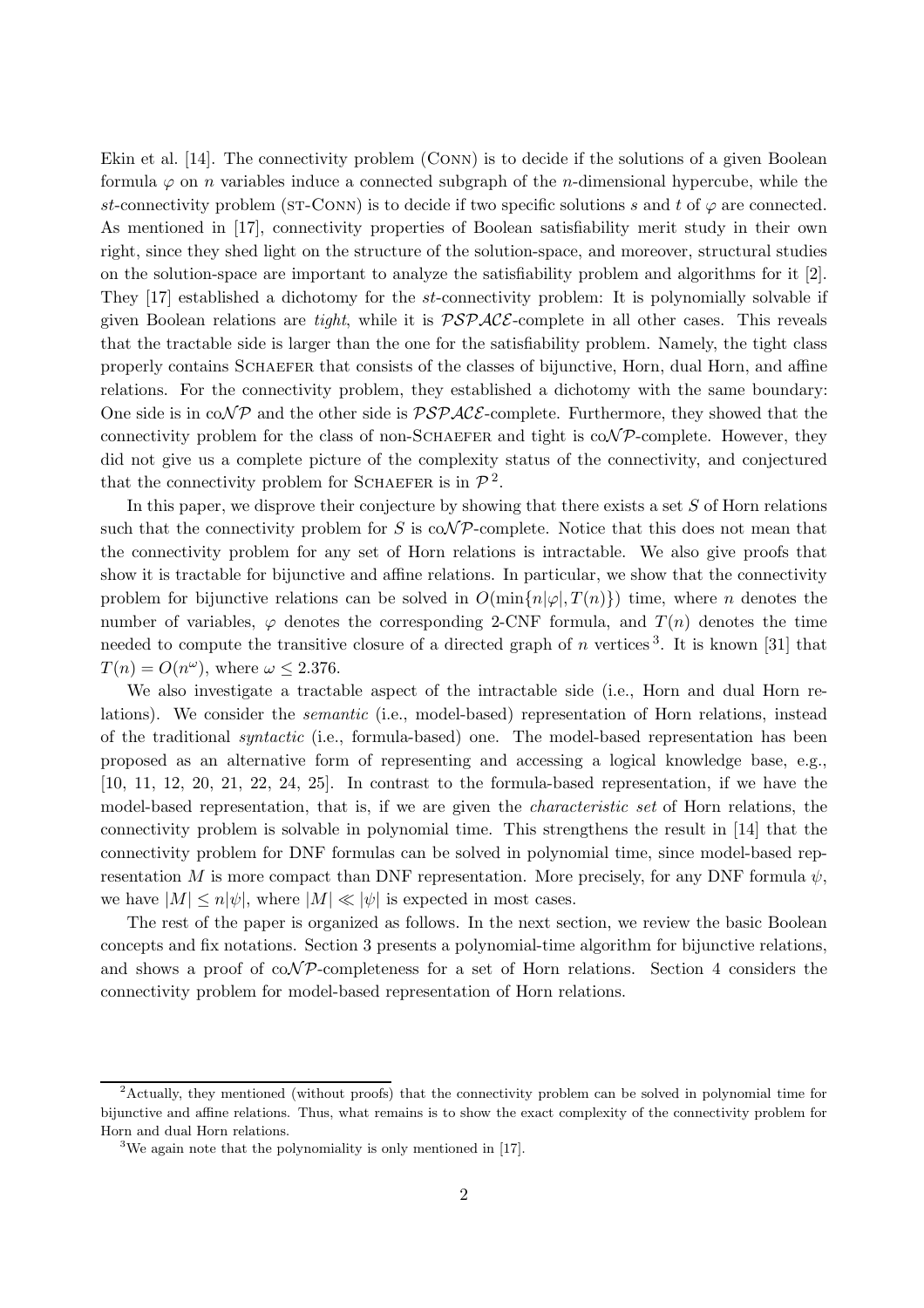Ekin et al. [14]. The connectivity problem (Conn) is to decide if the solutions of a given Boolean formula  $\varphi$  on *n* variables induce a connected subgraph of the *n*-dimensional hypercube, while the st-connectivity problem (ST-CONN) is to decide if two specific solutions s and t of  $\varphi$  are connected. As mentioned in [17], connectivity properties of Boolean satisfiability merit study in their own right, since they shed light on the structure of the solution-space, and moreover, structural studies on the solution-space are important to analyze the satisfiability problem and algorithms for it [2]. They [17] established a dichotomy for the st-connectivity problem: It is polynomially solvable if given Boolean relations are *tight*, while it is  $\mathcal{PSPACE}$ -complete in all other cases. This reveals that the tractable side is larger than the one for the satisfiability problem. Namely, the tight class properly contains Schaefer that consists of the classes of bijunctive, Horn, dual Horn, and affine relations. For the connectivity problem, they established a dichotomy with the same boundary: One side is in  $co\mathcal{NP}$  and the other side is  $\mathcal{PSPACE}$ -complete. Furthermore, they showed that the connectivity problem for the class of non-SCHAEFER and tight is  $\text{coNP-complete.}$  However, they did not give us a complete picture of the complexity status of the connectivity, and conjectured that the connectivity problem for SCHAEFER is in  $\mathcal{P}^2$ .

In this paper, we disprove their conjecture by showing that there exists a set  $S$  of Horn relations such that the connectivity problem for S is  $\text{coNP-complete}$ . Notice that this does not mean that the connectivity problem for any set of Horn relations is intractable. We also give proofs that show it is tractable for bijunctive and affine relations. In particular, we show that the connectivity problem for bijunctive relations can be solved in  $O(\min\{n|\varphi|,T(n)\})$  time, where n denotes the number of variables,  $\varphi$  denotes the corresponding 2-CNF formula, and  $T(n)$  denotes the time needed to compute the transitive closure of a directed graph of n vertices<sup>3</sup>. It is known [31] that  $T(n) = O(n^{\omega})$ , where  $\omega \le 2.376$ .

We also investigate a tractable aspect of the intractable side (i.e., Horn and dual Horn relations). We consider the semantic (i.e., model-based) representation of Horn relations, instead of the traditional syntactic (i.e., formula-based) one. The model-based representation has been proposed as an alternative form of representing and accessing a logical knowledge base, e.g., [10, 11, 12, 20, 21, 22, 24, 25]. In contrast to the formula-based representation, if we have the model-based representation, that is, if we are given the *characteristic set* of Horn relations, the connectivity problem is solvable in polynomial time. This strengthens the result in [14] that the connectivity problem for DNF formulas can be solved in polynomial time, since model-based representation M is more compact than DNF representation. More precisely, for any DNF formula  $\psi$ , we have  $|M| \leq n |\psi|$ , where  $|M| \ll |\psi|$  is expected in most cases.

The rest of the paper is organized as follows. In the next section, we review the basic Boolean concepts and fix notations. Section 3 presents a polynomial-time algorithm for bijunctive relations, and shows a proof of  $\text{coNP-completeness}$  for a set of Horn relations. Section 4 considers the connectivity problem for model-based representation of Horn relations.

<sup>2</sup>Actually, they mentioned (without proofs) that the connectivity problem can be solved in polynomial time for bijunctive and affine relations. Thus, what remains is to show the exact complexity of the connectivity problem for Horn and dual Horn relations.

<sup>3</sup>We again note that the polynomiality is only mentioned in [17].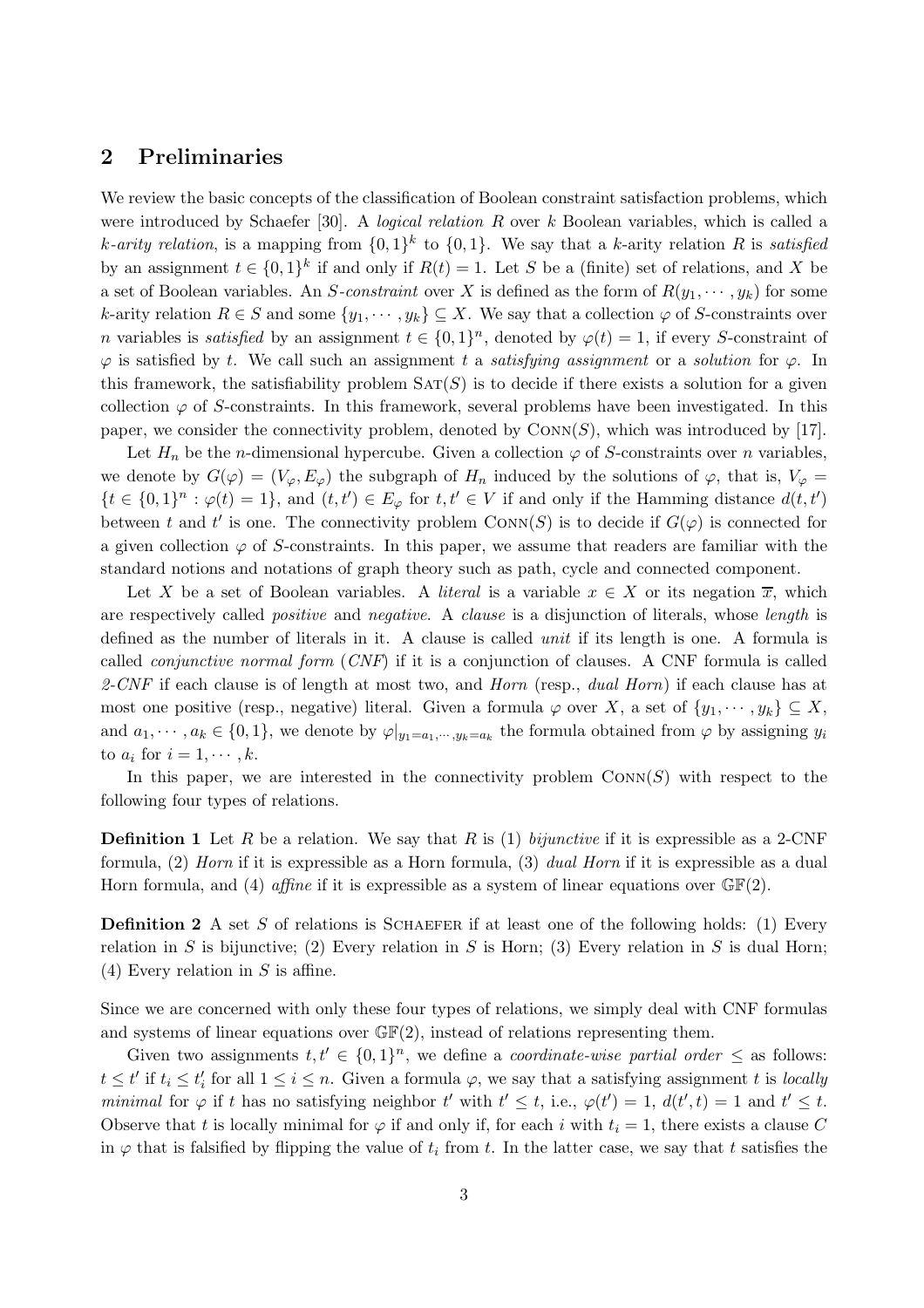# 2 Preliminaries

We review the basic concepts of the classification of Boolean constraint satisfaction problems, which were introduced by Schaefer [30]. A *logical relation R* over  $k$  Boolean variables, which is called a k-arity relation, is a mapping from  $\{0,1\}^k$  to  $\{0,1\}$ . We say that a k-arity relation R is satisfied by an assignment  $t \in \{0,1\}^k$  if and only if  $R(t) = 1$ . Let S be a (finite) set of relations, and X be a set of Boolean variables. An S-constraint over X is defined as the form of  $R(y_1, \dots, y_k)$  for some k-arity relation  $R \in S$  and some  $\{y_1, \dots, y_k\} \subseteq X$ . We say that a collection  $\varphi$  of S-constraints over *n* variables is *satisfied* by an assignment  $t \in \{0,1\}^n$ , denoted by  $\varphi(t) = 1$ , if every S-constraint of  $\varphi$  is satisfied by t. We call such an assignment t a satisfying assignment or a solution for  $\varphi$ . In this framework, the satisfiability problem  $SAT(S)$  is to decide if there exists a solution for a given collection  $\varphi$  of S-constraints. In this framework, several problems have been investigated. In this paper, we consider the connectivity problem, denoted by  $\text{Conv}(S)$ , which was introduced by [17].

Let  $H_n$  be the *n*-dimensional hypercube. Given a collection  $\varphi$  of *S*-constraints over *n* variables, we denote by  $G(\varphi) = (V_{\varphi}, E_{\varphi})$  the subgraph of  $H_n$  induced by the solutions of  $\varphi$ , that is,  $V_{\varphi} =$  $\{t \in \{0,1\}^n : \varphi(t) = 1\}$ , and  $(t, t') \in E_{\varphi}$  for  $t, t' \in V$  if and only if the Hamming distance  $d(t, t')$ between t and t' is one. The connectivity problem  $\text{Conv}(S)$  is to decide if  $G(\varphi)$  is connected for a given collection  $\varphi$  of S-constraints. In this paper, we assume that readers are familiar with the standard notions and notations of graph theory such as path, cycle and connected component.

Let X be a set of Boolean variables. A *literal* is a variable  $x \in X$  or its negation  $\overline{x}$ , which are respectively called *positive* and *negative*. A *clause* is a disjunction of literals, whose *length* is defined as the number of literals in it. A clause is called *unit* if its length is one. A formula is called *conjunctive normal form*  $(CNF)$  if it is a conjunction of clauses. A CNF formula is called 2-CNF if each clause is of length at most two, and Horn (resp., dual Horn) if each clause has at most one positive (resp., negative) literal. Given a formula  $\varphi$  over X, a set of  $\{y_1, \dots, y_k\} \subseteq X$ , and  $a_1, \dots, a_k \in \{0, 1\}$ , we denote by  $\varphi|_{y_1 = a_1, \dots, y_k = a_k}$  the formula obtained from  $\varphi$  by assigning  $y_i$ to  $a_i$  for  $i = 1, \cdots, k$ .

In this paper, we are interested in the connectivity problem  $Conv(S)$  with respect to the following four types of relations.

**Definition 1** Let R be a relation. We say that R is (1) bijunctive if it is expressible as a 2-CNF formula, (2) Horn if it is expressible as a Horn formula, (3) dual Horn if it is expressible as a dual Horn formula, and (4) affine if it is expressible as a system of linear equations over  $\mathbb{GF}(2)$ .

**Definition 2** A set S of relations is SCHAEFER if at least one of the following holds: (1) Every relation in S is bijunctive; (2) Every relation in S is Horn; (3) Every relation in S is dual Horn; (4) Every relation in  $S$  is affine.

Since we are concerned with only these four types of relations, we simply deal with CNF formulas and systems of linear equations over  $\mathbb{GF}(2)$ , instead of relations representing them.

Given two assignments  $t, t' \in \{0, 1\}^n$ , we define a *coordinate-wise partial order*  $\leq$  as follows:  $t \leq t'$  if  $t_i \leq t'_i$  for all  $1 \leq i \leq n$ . Given a formula  $\varphi$ , we say that a satisfying assignment t is locally minimal for  $\varphi$  if t has no satisfying neighbor t' with  $t' \leq t$ , i.e.,  $\varphi(t') = 1$ ,  $d(t', t) = 1$  and  $t' \leq t$ . Observe that t is locally minimal for  $\varphi$  if and only if, for each i with  $t_i = 1$ , there exists a clause C in  $\varphi$  that is falsified by flipping the value of  $t_i$  from t. In the latter case, we say that t satisfies the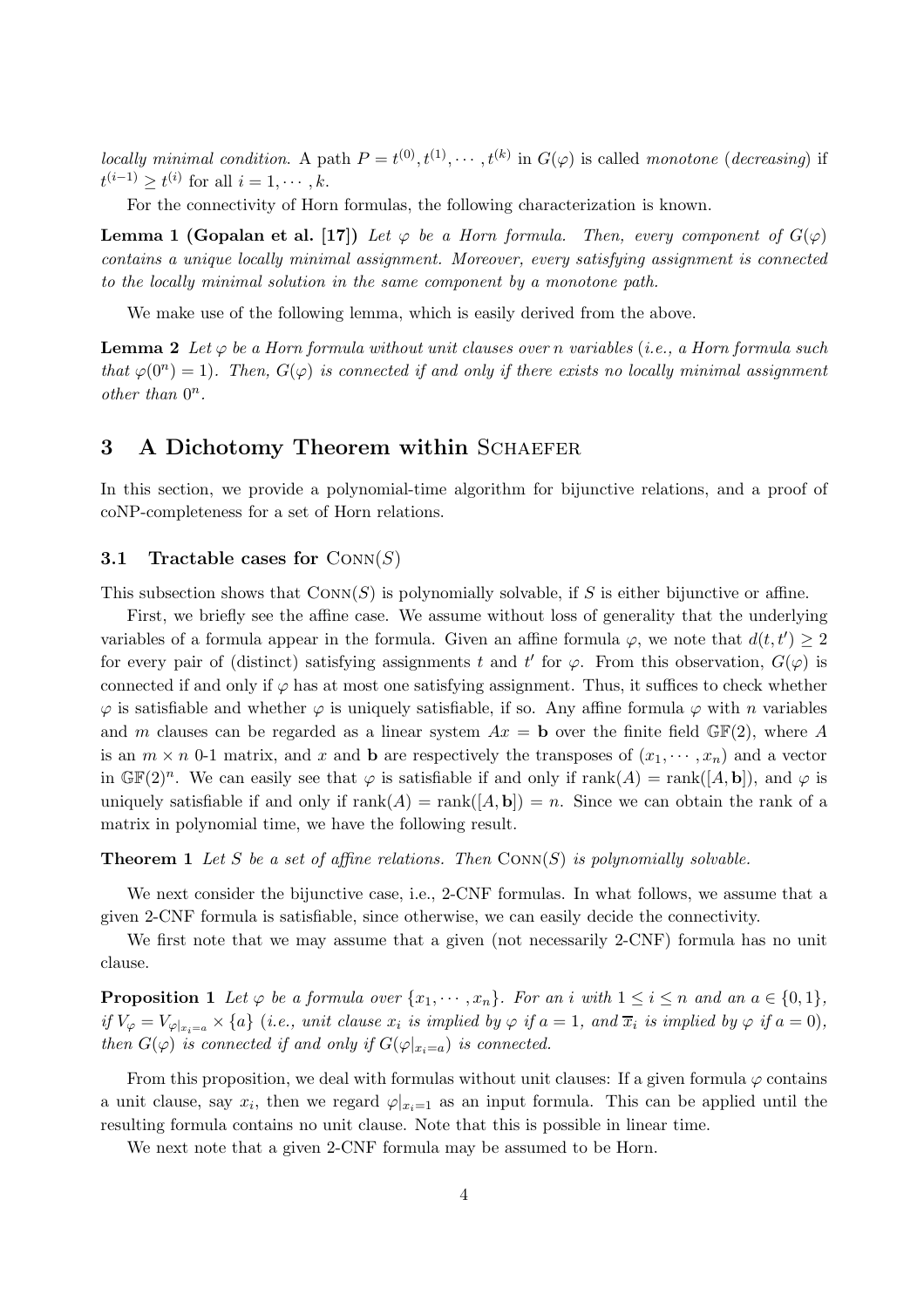locally minimal condition. A path  $P = t^{(0)}, t^{(1)}, \dots, t^{(k)}$  in  $G(\varphi)$  is called monotone (decreasing) if  $t^{(i-1)} \geq t^{(i)}$  for all  $i = 1, \cdots, k$ .

For the connectivity of Horn formulas, the following characterization is known.

**Lemma 1 (Gopalan et al. [17])** Let  $\varphi$  be a Horn formula. Then, every component of  $G(\varphi)$ contains a unique locally minimal assignment. Moreover, every satisfying assignment is connected to the locally minimal solution in the same component by a monotone path.

We make use of the following lemma, which is easily derived from the above.

**Lemma 2** Let  $\varphi$  be a Horn formula without unit clauses over n variables (i.e., a Horn formula such that  $\varphi(0^n) = 1$ ). Then,  $G(\varphi)$  is connected if and only if there exists no locally minimal assignment other than  $0^n$ .

# 3 A Dichotomy Theorem within SCHAEFER

In this section, we provide a polynomial-time algorithm for bijunctive relations, and a proof of coNP-completeness for a set of Horn relations.

#### 3.1 Tractable cases for  $Conv(S)$

This subsection shows that  $Conn(S)$  is polynomially solvable, if S is either bijunctive or affine.

First, we briefly see the affine case. We assume without loss of generality that the underlying variables of a formula appear in the formula. Given an affine formula  $\varphi$ , we note that  $d(t, t') \geq 2$ for every pair of (distinct) satisfying assignments t and t' for  $\varphi$ . From this observation,  $G(\varphi)$  is connected if and only if  $\varphi$  has at most one satisfying assignment. Thus, it suffices to check whether  $\varphi$  is satisfiable and whether  $\varphi$  is uniquely satisfiable, if so. Any affine formula  $\varphi$  with n variables and m clauses can be regarded as a linear system  $Ax = \mathbf{b}$  over the finite field  $\mathbb{GF}(2)$ , where A is an  $m \times n$  0-1 matrix, and x and b are respectively the transposes of  $(x_1, \dots, x_n)$  and a vector in  $\mathbb{GF}(2)^n$ . We can easily see that  $\varphi$  is satisfiable if and only if  $rank(A) = rank([A, \mathbf{b}]),$  and  $\varphi$  is uniquely satisfiable if and only if  $rank(A) = rank([A, \mathbf{b}]) = n$ . Since we can obtain the rank of a matrix in polynomial time, we have the following result.

**Theorem 1** Let S be a set of affine relations. Then  $Conn(S)$  is polynomially solvable.

We next consider the bijunctive case, i.e., 2-CNF formulas. In what follows, we assume that a given 2-CNF formula is satisfiable, since otherwise, we can easily decide the connectivity.

We first note that we may assume that a given (not necessarily 2-CNF) formula has no unit clause.

**Proposition 1** Let  $\varphi$  be a formula over  $\{x_1, \dots, x_n\}$ . For an i with  $1 \leq i \leq n$  and an  $a \in \{0, 1\}$ , if  $V_{\varphi} = V_{\varphi|_{x_i=a}} \times \{a\}$  (i.e., unit clause  $x_i$  is implied by  $\varphi$  if  $a = 1$ , and  $\overline{x}_i$  is implied by  $\varphi$  if  $a = 0$ ), then  $G(\varphi)$  is connected if and only if  $G(\varphi|_{x_i=a})$  is connected.

From this proposition, we deal with formulas without unit clauses: If a given formula  $\varphi$  contains a unit clause, say  $x_i$ , then we regard  $\varphi|_{x_i=1}$  as an input formula. This can be applied until the resulting formula contains no unit clause. Note that this is possible in linear time.

We next note that a given 2-CNF formula may be assumed to be Horn.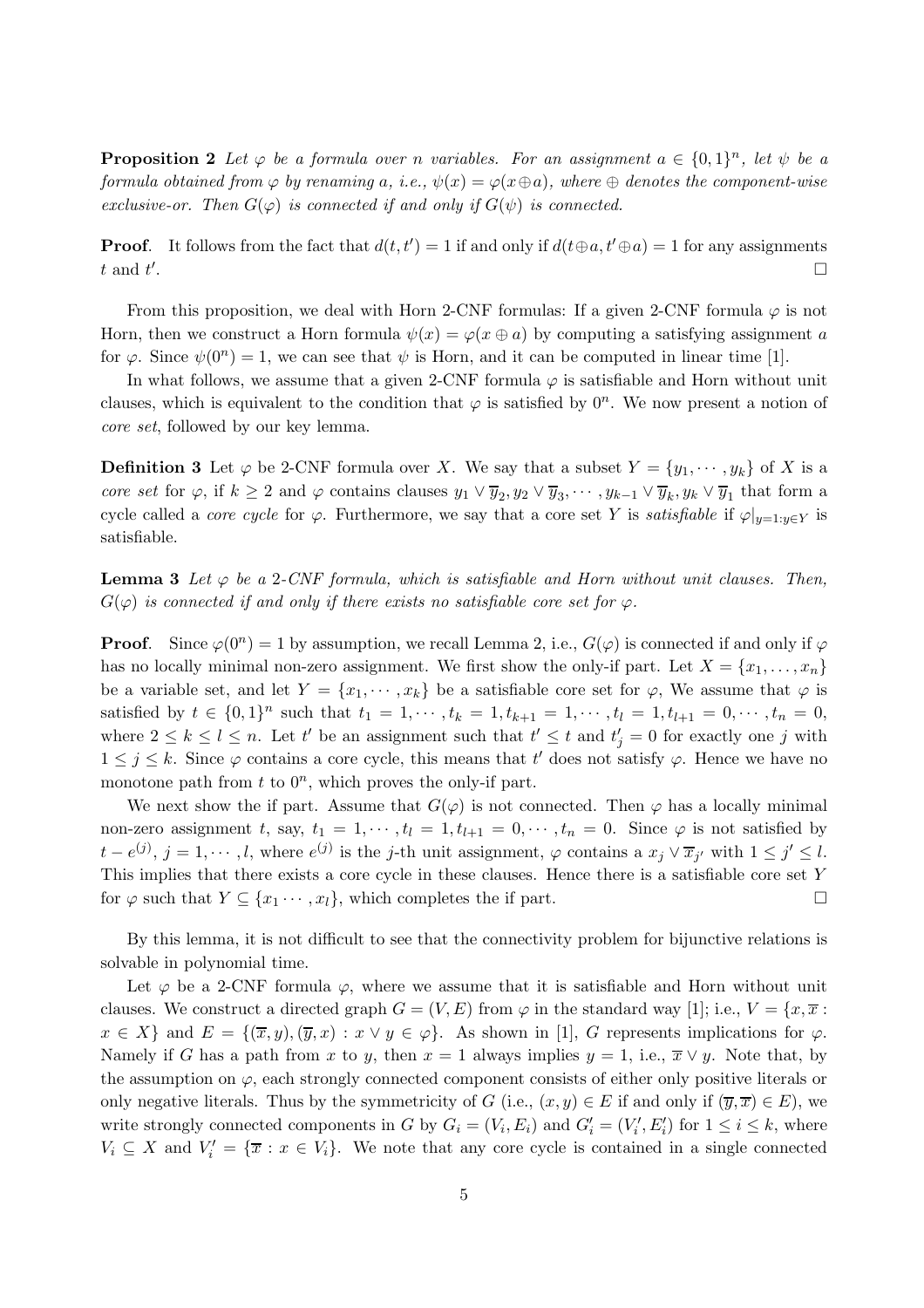**Proposition 2** Let  $\varphi$  be a formula over n variables. For an assignment  $a \in \{0,1\}^n$ , let  $\psi$  be a formula obtained from  $\varphi$  by renaming a, i.e.,  $\psi(x) = \varphi(x \oplus a)$ , where  $\oplus$  denotes the component-wise exclusive-or. Then  $G(\varphi)$  is connected if and only if  $G(\psi)$  is connected.

**Proof.** It follows from the fact that  $d(t, t') = 1$  if and only if  $d(t \oplus a, t' \oplus a) = 1$  for any assignments  $t$  and  $t'$ .<br>1990 - Johann Stein, Amerikaansk politiker († 1905)

From this proposition, we deal with Horn 2-CNF formulas: If a given 2-CNF formula  $\varphi$  is not Horn, then we construct a Horn formula  $\psi(x) = \varphi(x \oplus a)$  by computing a satisfying assignment a for  $\varphi$ . Since  $\psi(0^n) = 1$ , we can see that  $\psi$  is Horn, and it can be computed in linear time [1].

In what follows, we assume that a given 2-CNF formula  $\varphi$  is satisfiable and Horn without unit clauses, which is equivalent to the condition that  $\varphi$  is satisfied by  $0^n$ . We now present a notion of core set, followed by our key lemma.

**Definition 3** Let  $\varphi$  be 2-CNF formula over X. We say that a subset  $Y = \{y_1, \dots, y_k\}$  of X is a core set for  $\varphi$ , if  $k \geq 2$  and  $\varphi$  contains clauses  $y_1 \vee \overline{y}_2, y_2 \vee \overline{y}_3, \dots, y_{k-1} \vee \overline{y}_k, y_k \vee \overline{y}_1$  that form a cycle called a *core cycle* for  $\varphi$ . Furthermore, we say that a core set Y is *satisfiable* if  $\varphi|_{y=1:y\in Y}$  is satisfiable.

**Lemma 3** Let  $\varphi$  be a 2-CNF formula, which is satisfiable and Horn without unit clauses. Then,  $G(\varphi)$  is connected if and only if there exists no satisfiable core set for  $\varphi$ .

**Proof.** Since  $\varphi(0^n) = 1$  by assumption, we recall Lemma 2, i.e.,  $G(\varphi)$  is connected if and only if  $\varphi$ has no locally minimal non-zero assignment. We first show the only-if part. Let  $X = \{x_1, \ldots, x_n\}$ be a variable set, and let  $Y = \{x_1, \dots, x_k\}$  be a satisfiable core set for  $\varphi$ , We assume that  $\varphi$  is satisfied by  $t \in \{0,1\}^n$  such that  $t_1 = 1, \dots, t_k = 1, t_{k+1} = 1, \dots, t_l = 1, t_{l+1} = 0, \dots, t_n = 0$ , where  $2 \leq k \leq l \leq n$ . Let t' be an assignment such that  $t' \leq t$  and  $t'_{j} = 0$  for exactly one j with  $1 \leq j \leq k$ . Since  $\varphi$  contains a core cycle, this means that t' does not satisfy  $\varphi$ . Hence we have no monotone path from  $t$  to  $0^n$ , which proves the only-if part.

We next show the if part. Assume that  $G(\varphi)$  is not connected. Then  $\varphi$  has a locally minimal non-zero assignment t, say,  $t_1 = 1, \dots, t_l = 1, t_{l+1} = 0, \dots, t_n = 0$ . Since  $\varphi$  is not satisfied by  $t - e^{(j)}$ ,  $j = 1, \dots, l$ , where  $e^{(j)}$  is the j-th unit assignment,  $\varphi$  contains a  $x_j \vee \overline{x}_{j'}$  with  $1 \leq j' \leq l$ . This implies that there exists a core cycle in these clauses. Hence there is a satisfiable core set Y for  $\varphi$  such that  $Y \subseteq \{x_1 \cdots, x_l\}$ , which completes the if part.

By this lemma, it is not difficult to see that the connectivity problem for bijunctive relations is solvable in polynomial time.

Let  $\varphi$  be a 2-CNF formula  $\varphi$ , where we assume that it is satisfiable and Horn without unit clauses. We construct a directed graph  $G = (V, E)$  from  $\varphi$  in the standard way [1]; i.e.,  $V = \{x, \overline{x} :$  $x \in X$  and  $E = \{(\overline{x}, y), (\overline{y}, x) : x \vee y \in \varphi\}$ . As shown in [1], G represents implications for  $\varphi$ . Namely if G has a path from x to y, then  $x = 1$  always implies  $y = 1$ , i.e.,  $\overline{x} \vee y$ . Note that, by the assumption on  $\varphi$ , each strongly connected component consists of either only positive literals or only negative literals. Thus by the symmetricity of G (i.e.,  $(x, y) \in E$  if and only if  $(\overline{y}, \overline{x}) \in E$ ), we write strongly connected components in G by  $G_i = (V_i, E_i)$  and  $G'_i = (V'_i, E'_i)$  for  $1 \le i \le k$ , where  $V_i \subseteq X$  and  $V'_i = {\overline{x} : x \in V_i}$ . We note that any core cycle is contained in a single connected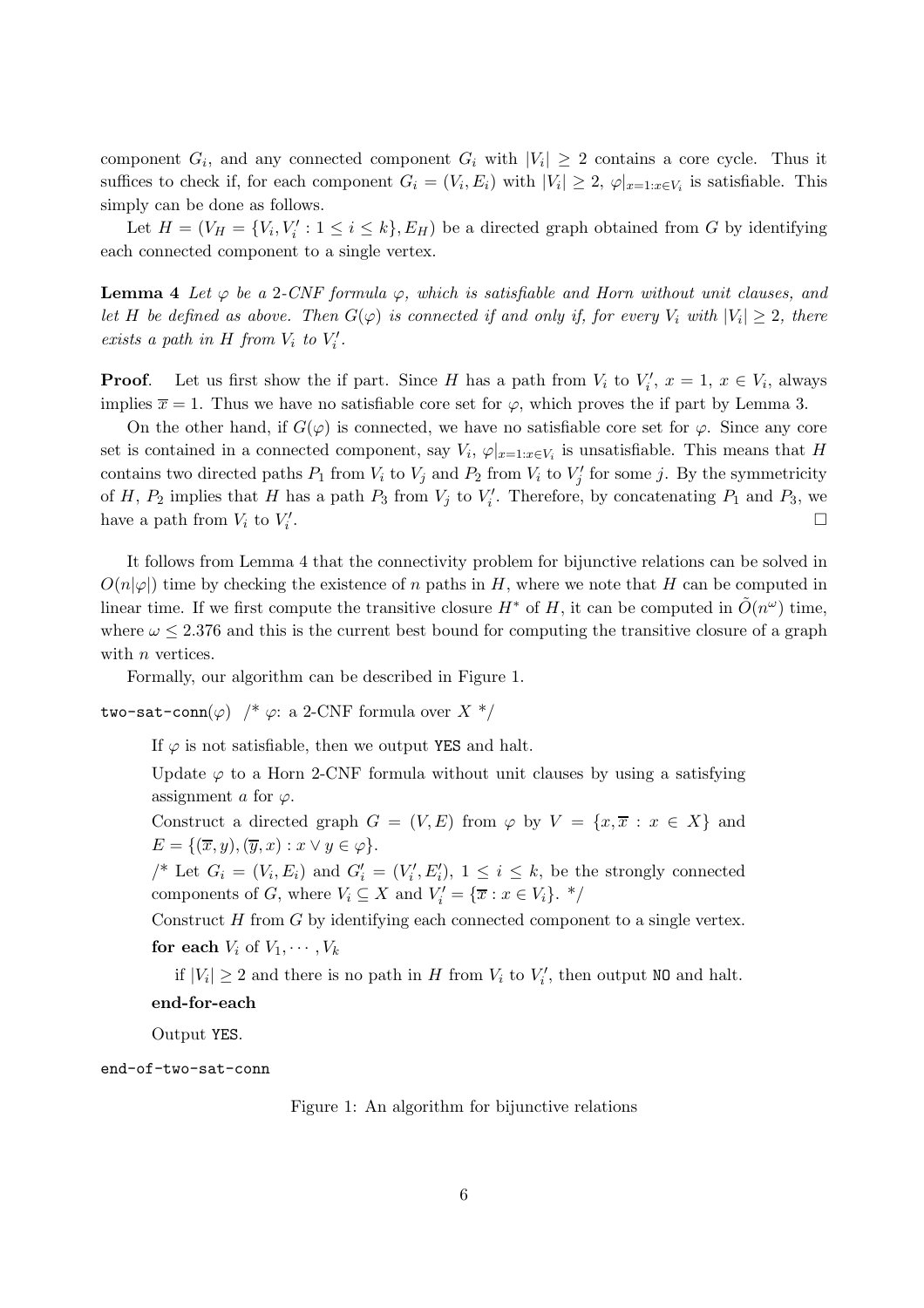component  $G_i$ , and any connected component  $G_i$  with  $|V_i| \geq 2$  contains a core cycle. Thus it suffices to check if, for each component  $G_i = (V_i, E_i)$  with  $|V_i| \geq 2$ ,  $\varphi|_{x=1:x \in V_i}$  is satisfiable. This simply can be done as follows.

Let  $H = (V_H = \{V_i, V'_i : 1 \leq i \leq k\}, E_H)$  be a directed graph obtained from G by identifying each connected component to a single vertex.

**Lemma 4** Let  $\varphi$  be a 2-CNF formula  $\varphi$ , which is satisfiable and Horn without unit clauses, and let H be defined as above. Then  $G(\varphi)$  is connected if and only if, for every  $V_i$  with  $|V_i|\geq 2$ , there exists a path in H from  $V_i$  to  $V'_i$ .

**Proof.** Let us first show the if part. Since H has a path from  $V_i$  to  $V'_i$ ,  $x = 1$ ,  $x \in V_i$ , always implies  $\overline{x} = 1$ . Thus we have no satisfiable core set for  $\varphi$ , which proves the if part by Lemma 3.

On the other hand, if  $G(\varphi)$  is connected, we have no satisfiable core set for  $\varphi$ . Since any core set is contained in a connected component, say  $V_i$ ,  $\varphi|_{x=1:x\in V_i}$  is unsatisfiable. This means that H contains two directed paths  $P_1$  from  $V_i$  to  $V_j$  and  $P_2$  from  $V_i$  to  $V'_j$  for some j. By the symmetricity of H,  $P_2$  implies that H has a path  $P_3$  from  $V_j$  to  $V'_i$ . Therefore, by concatenating  $P_1$  and  $P_3$ , we have a path from  $V_i$  to  $V'_i$ .

It follows from Lemma 4 that the connectivity problem for bijunctive relations can be solved in  $O(n|\varphi|)$  time by checking the existence of n paths in H, where we note that H can be computed in linear time. If we first compute the transitive closure  $H^*$  of H, it can be computed in  $\tilde{O}(n^{\omega})$  time, where  $\omega \leq 2.376$  and this is the current best bound for computing the transitive closure of a graph with *n* vertices.

Formally, our algorithm can be described in Figure 1.

two-sat-conn( $\varphi$ ) /\*  $\varphi$ : a 2-CNF formula over X \*/

If  $\varphi$  is not satisfiable, then we output YES and halt.

Update  $\varphi$  to a Horn 2-CNF formula without unit clauses by using a satisfying assignment a for  $\varphi$ .

Construct a directed graph  $G = (V, E)$  from  $\varphi$  by  $V = \{x, \overline{x} : x \in X\}$  and  $E = \{(\overline{x}, y), (\overline{y}, x) : x \vee y \in \varphi\}.$ 

/\* Let  $G_i = (V_i, E_i)$  and  $G'_i = (V'_i, E'_i)$ ,  $1 \leq i \leq k$ , be the strongly connected components of G, where  $V_i \subseteq X$  and  $V'_i = \{ \overline{x} : x \in V_i \}$ . \*/

Construct  $H$  from  $G$  by identifying each connected component to a single vertex. for each  $V_i$  of  $V_1, \cdots, V_k$ 

if  $|V_i| \geq 2$  and there is no path in H from  $V_i$  to  $V'_i$ , then output NO and halt.

# end-for-each

Output YES.

end-of-two-sat-conn

Figure 1: An algorithm for bijunctive relations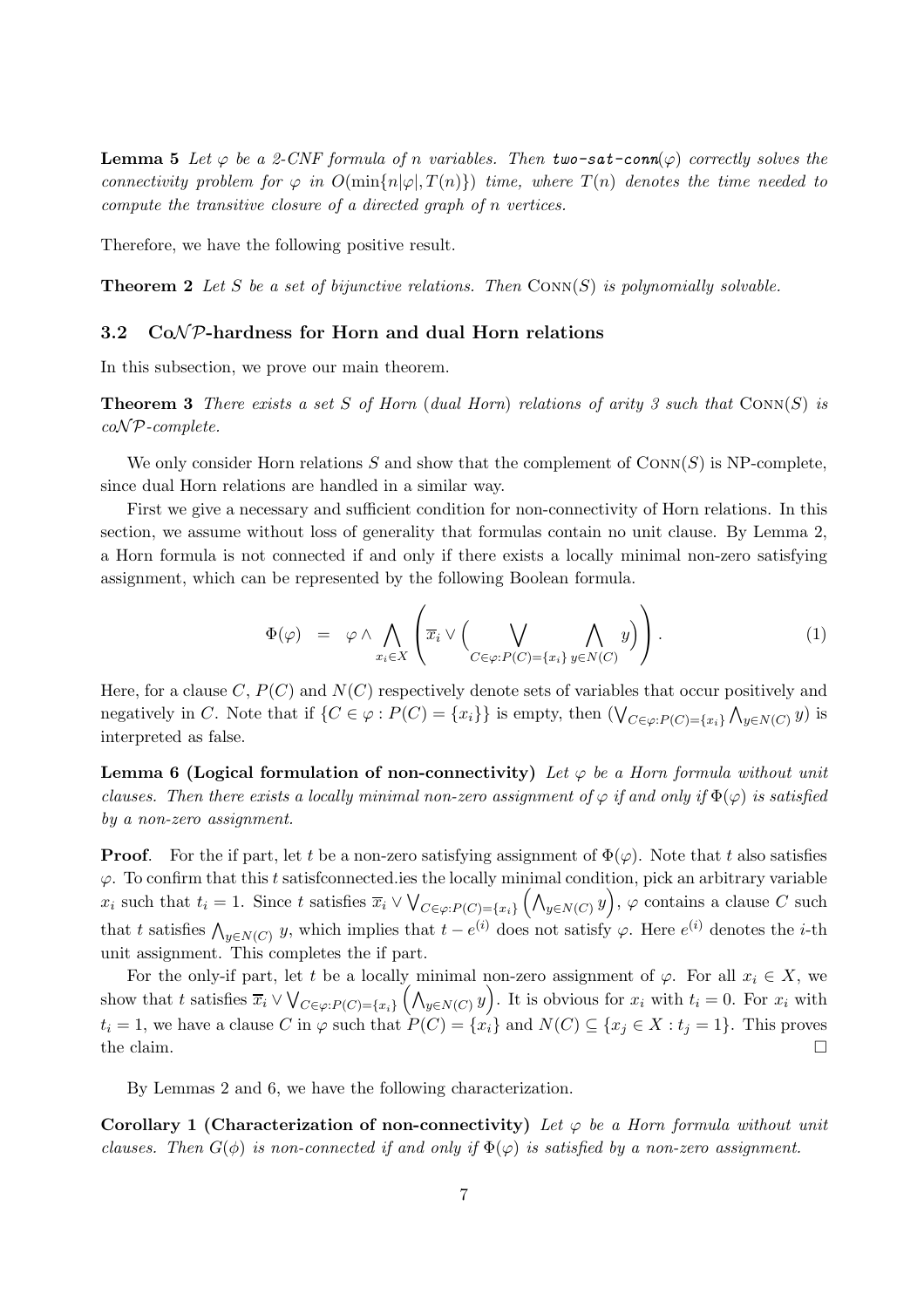**Lemma 5** Let  $\varphi$  be a 2-CNF formula of n variables. Then two-sat-conn( $\varphi$ ) correctly solves the connectivity problem for  $\varphi$  in  $O(\min\{n|\varphi|,T(n)\})$  time, where  $T(n)$  denotes the time needed to compute the transitive closure of a directed graph of n vertices.

Therefore, we have the following positive result.

**Theorem 2** Let S be a set of bijunctive relations. Then  $CONF(S)$  is polynomially solvable.

## 3.2  $CoNP$ -hardness for Horn and dual Horn relations

In this subsection, we prove our main theorem.

**Theorem 3** There exists a set S of Horn (dual Horn) relations of arity 3 such that  $\text{Conn}(S)$  is  $coNP$ -complete.

We only consider Horn relations S and show that the complement of  $\text{Conn}(S)$  is NP-complete, since dual Horn relations are handled in a similar way.

First we give a necessary and sufficient condition for non-connectivity of Horn relations. In this section, we assume without loss of generality that formulas contain no unit clause. By Lemma 2, a Horn formula is not connected if and only if there exists a locally minimal non-zero satisfying assignment, which can be represented by the following Boolean formula.

$$
\Phi(\varphi) = \varphi \wedge \bigwedge_{x_i \in X} \left( \overline{x}_i \vee \left( \bigvee_{C \in \varphi: P(C) = \{x_i\}} \bigwedge_{y \in N(C)} y \right) \right). \tag{1}
$$

Here, for a clause C,  $P(C)$  and  $N(C)$  respectively denote sets of variables that occur positively and negatively in C. Note that if  $\{C \in \varphi : P(C) = \{x_i\}\}$  is empty, then  $(\bigvee_{C \in \varphi : P(C) = \{x_i\}} \bigwedge_{y \in N(C)} y)$  is interpreted as false.

**Lemma 6 (Logical formulation of non-connectivity)** Let  $\varphi$  be a Horn formula without unit clauses. Then there exists a locally minimal non-zero assignment of  $\varphi$  if and only if  $\Phi(\varphi)$  is satisfied by a non-zero assignment.

**Proof.** For the if part, let t be a non-zero satisfying assignment of  $\Phi(\varphi)$ . Note that t also satisfies  $\varphi$ . To confirm that this t satisficonnected ies the locally minimal condition, pick an arbitrary variable  $x_i$  such that  $t_i = 1$ . Since t satisfies  $\overline{x}_i \vee \bigvee_{C \in \varphi: P(C) = \{x_i\}} \left(\bigwedge_{y \in N(C)} y\right)$ ,  $\varphi$  contains a clause C such that t satisfies  $\bigwedge_{y \in N(C)} y$ , which implies that  $t - e^{i\theta}$  does not satisfy  $\varphi$ . Here  $e^{i\theta}$  denotes the *i*-th unit assignment. This completes the if part.

For the only-if part, let t be a locally minimal non-zero assignment of  $\varphi$ . For all  $x_i \in X$ , we show that t satisfies  $\overline{x}_i \vee \bigvee_{C \in \varphi: P(C) = \{x_i\}} \left(\bigwedge_{y \in N(C)} y\right)$ . It is obvious for  $x_i$  with  $t_i = 0$ . For  $x_i$  with  $t_i = 1$ , we have a clause C in  $\varphi$  such that  $P(C) = \{x_i\}$  and  $N(C) \subseteq \{x_j \in X : t_j = 1\}$ . This proves the claim.  $\Box$ 

By Lemmas 2 and 6, we have the following characterization.

Corollary 1 (Characterization of non-connectivity) Let  $\varphi$  be a Horn formula without unit clauses. Then  $G(\phi)$  is non-connected if and only if  $\Phi(\varphi)$  is satisfied by a non-zero assignment.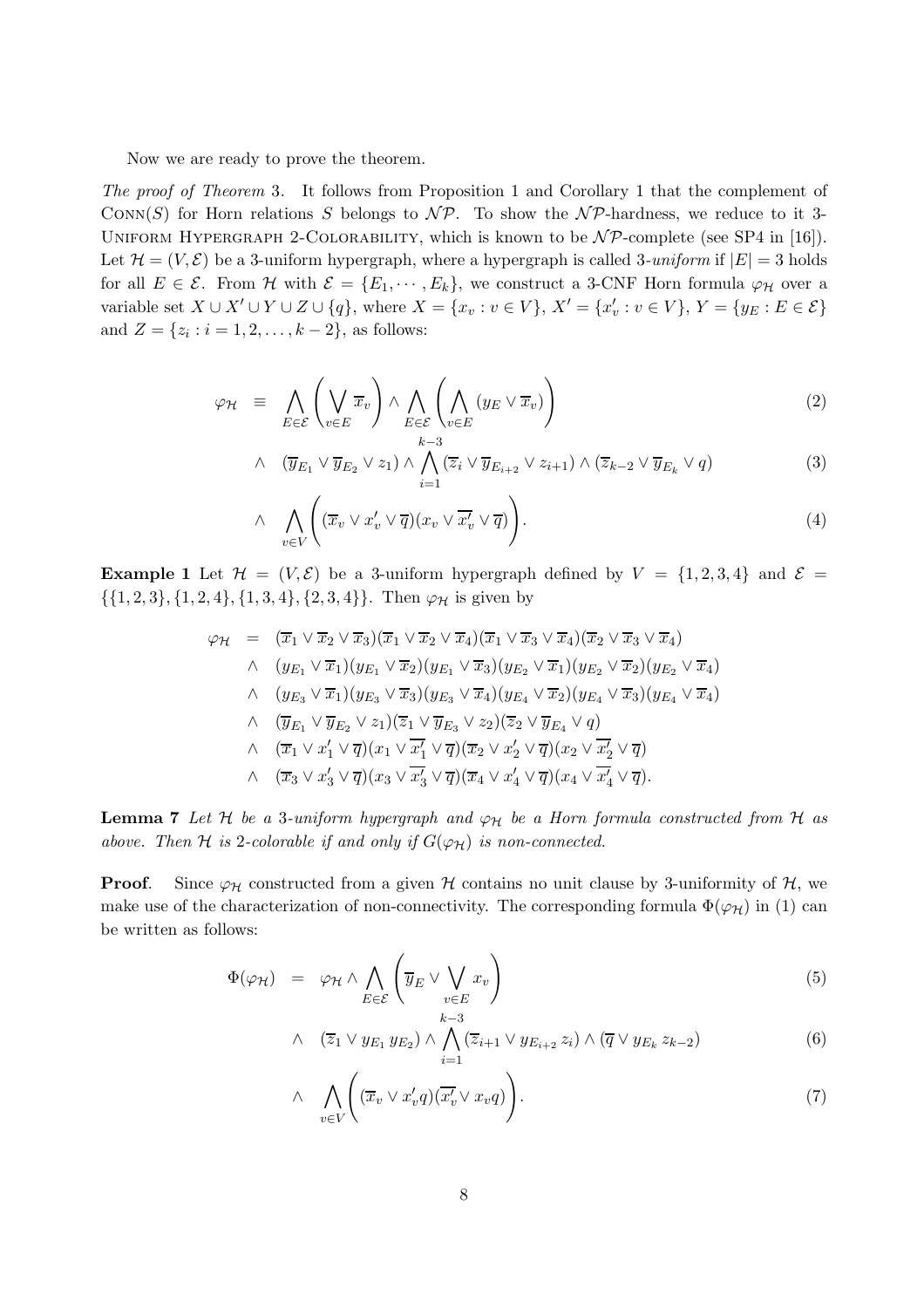Now we are ready to prove the theorem.

The proof of Theorem 3. It follows from Proposition 1 and Corollary 1 that the complement of CONN(S) for Horn relations S belongs to  $\mathcal{NP}$ . To show the  $\mathcal{NP}$ -hardness, we reduce to it 3-UNIFORM HYPERGRAPH 2-COLORABILITY, which is known to be  $N\mathcal{P}$ -complete (see SP4 in [16]). Let  $\mathcal{H} = (V, \mathcal{E})$  be a 3-uniform hypergraph, where a hypergraph is called 3-uniform if  $|E| = 3$  holds for all  $E \in \mathcal{E}$ . From H with  $\mathcal{E} = \{E_1, \dots, E_k\}$ , we construct a 3-CNF Horn formula  $\varphi_H$  over a variable set  $X \cup X' \cup Y \cup Z \cup \{q\}$ , where  $X = \{x_v : v \in V\}$ ,  $X' = \{x'_v : v \in V\}$ ,  $Y = \{y_E : E \in \mathcal{E}\}$ and  $Z = \{z_i : i = 1, 2, \dots, k-2\}$ , as follows:

$$
\varphi_{\mathcal{H}} = \bigwedge_{E \in \mathcal{E}} \left( \bigvee_{v \in E} \overline{x}_v \right) \wedge \bigwedge_{E \in \mathcal{E}} \left( \bigwedge_{v \in E} (y_E \vee \overline{x}_v) \right)
$$
(2)

$$
\wedge \quad (\overline{y}_{E_1} \vee \overline{y}_{E_2} \vee z_1) \wedge \bigwedge_{i=1}^{k-3} (\overline{z}_i \vee \overline{y}_{E_{i+2}} \vee z_{i+1}) \wedge (\overline{z}_{k-2} \vee \overline{y}_{E_k} \vee q) \tag{3}
$$

$$
\wedge \quad \bigwedge_{v \in V} \left( (\overline{x}_v \vee x_v' \vee \overline{q})(x_v \vee \overline{x_v'} \vee \overline{q}) \right). \tag{4}
$$

**Example 1** Let  $\mathcal{H} = (V, \mathcal{E})$  be a 3-uniform hypergraph defined by  $V = \{1, 2, 3, 4\}$  and  $\mathcal{E} =$  $\{\{1, 2, 3\}, \{1, 2, 4\}, \{1, 3, 4\}, \{2, 3, 4\}\}\.$  Then  $\varphi_{\mathcal{H}}$  is given by

$$
\varphi_{\mathcal{H}} = (\overline{x}_1 \vee \overline{x}_2 \vee \overline{x}_3)(\overline{x}_1 \vee \overline{x}_2 \vee \overline{x}_4)(\overline{x}_1 \vee \overline{x}_3 \vee \overline{x}_4)(\overline{x}_2 \vee \overline{x}_3 \vee \overline{x}_4)
$$
  
\n
$$
\wedge (y_{E_1} \vee \overline{x}_1)(y_{E_1} \vee \overline{x}_2)(y_{E_1} \vee \overline{x}_3)(y_{E_2} \vee \overline{x}_1)(y_{E_2} \vee \overline{x}_2)(y_{E_2} \vee \overline{x}_4)
$$
  
\n
$$
\wedge (y_{E_3} \vee \overline{x}_1)(y_{E_3} \vee \overline{x}_3)(y_{E_3} \vee \overline{x}_4)(y_{E_4} \vee \overline{x}_2)(y_{E_4} \vee \overline{x}_3)(y_{E_4} \vee \overline{x}_4)
$$
  
\n
$$
\wedge (\overline{y}_{E_1} \vee \overline{y}_{E_2} \vee z_1)(\overline{z}_1 \vee \overline{y}_{E_3} \vee z_2)(\overline{z}_2 \vee \overline{y}_{E_4} \vee q)
$$
  
\n
$$
\wedge (\overline{x}_1 \vee x_1' \vee \overline{q})(x_1 \vee \overline{x_1'} \vee \overline{q})(\overline{x}_2 \vee x_2' \vee \overline{q})(x_2 \vee \overline{x_2'} \vee \overline{q})
$$
  
\n
$$
\wedge (\overline{x}_3 \vee x_3' \vee \overline{q})(x_3 \vee \overline{x_3'} \vee \overline{q})(\overline{x}_4 \vee x_4' \vee \overline{q})(x_4 \vee \overline{x_4'} \vee \overline{q}).
$$

**Lemma 7** Let H be a 3-uniform hypergraph and  $\varphi_H$  be a Horn formula constructed from H as above. Then H is 2-colorable if and only if  $G(\varphi_H)$  is non-connected.

**Proof.** Since  $\varphi_{\mathcal{H}}$  constructed from a given  $\mathcal{H}$  contains no unit clause by 3-uniformity of  $\mathcal{H}$ , we make use of the characterization of non-connectivity. The corresponding formula  $\Phi(\varphi_H)$  in (1) can be written as follows:

$$
\Phi(\varphi_{\mathcal{H}}) = \varphi_{\mathcal{H}} \wedge \bigwedge_{E \in \mathcal{E}} \left( \overline{y}_E \vee \bigvee_{\substack{v \in E \\ k-3}} x_v \right) \tag{5}
$$

$$
\wedge \quad (\overline{z}_1 \vee y_{E_1} y_{E_2}) \wedge \bigwedge_{i=1}^{k-3} (\overline{z}_{i+1} \vee y_{E_{i+2}} z_i) \wedge (\overline{q} \vee y_{E_k} z_{k-2}) \tag{6}
$$

$$
\wedge \quad \bigwedge_{v \in V} \left( (\overline{x}_v \vee x'_v q)(\overline{x'_v} \vee x_v q) \right). \tag{7}
$$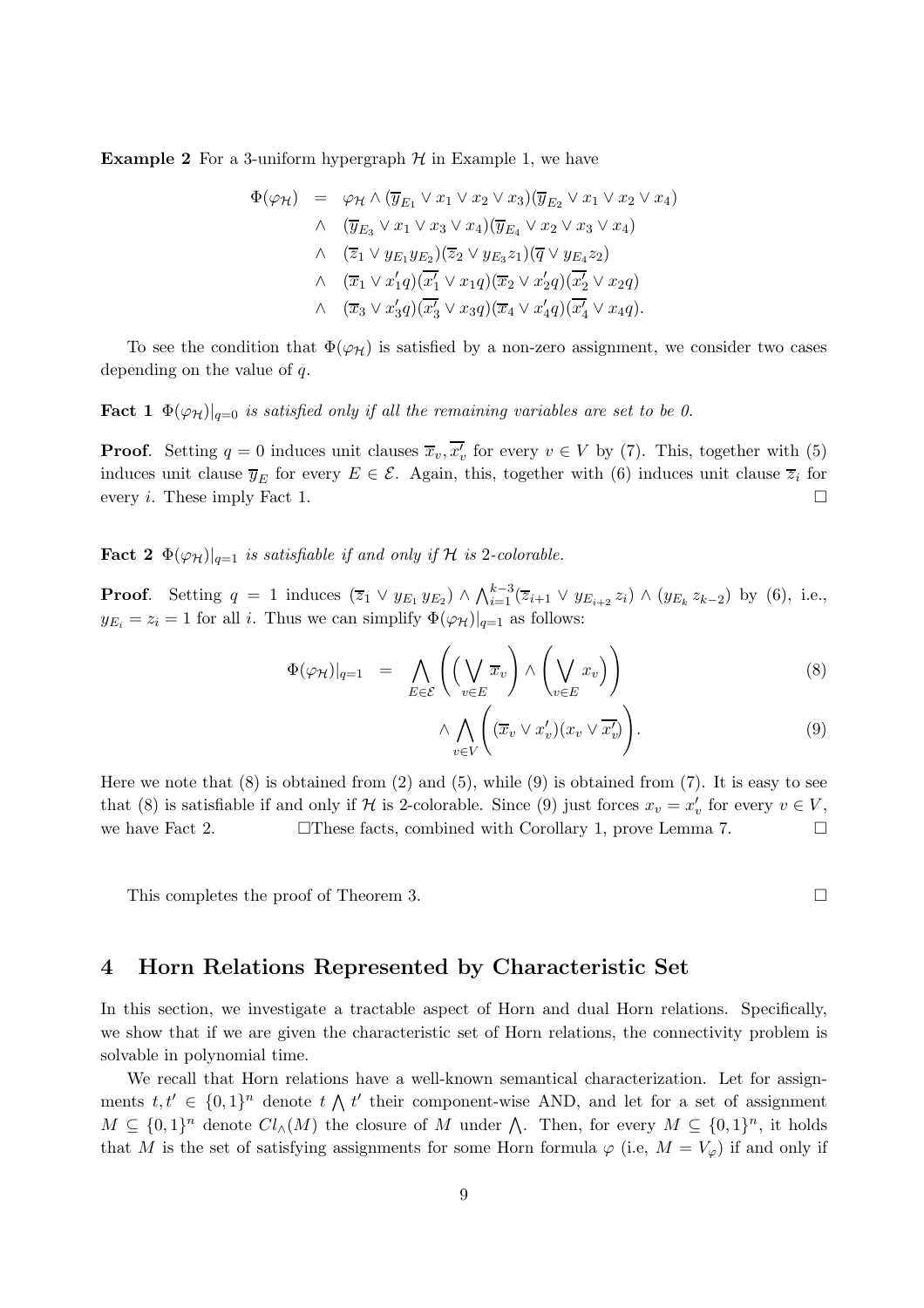**Example 2** For a 3-uniform hypergraph  $H$  in Example 1, we have

$$
\Phi(\varphi_{\mathcal{H}}) = \varphi_{\mathcal{H}} \wedge (\overline{y}_{E_1} \vee x_1 \vee x_2 \vee x_3)(\overline{y}_{E_2} \vee x_1 \vee x_2 \vee x_4)
$$
  

$$
\wedge \quad (\overline{y}_{E_3} \vee x_1 \vee x_3 \vee x_4)(\overline{y}_{E_4} \vee x_2 \vee x_3 \vee x_4)
$$
  

$$
\wedge \quad (\overline{z}_1 \vee y_{E_1} y_{E_2})(\overline{z}_2 \vee y_{E_3} z_1)(\overline{q} \vee y_{E_4} z_2)
$$
  

$$
\wedge \quad (\overline{x}_1 \vee x'_1 q)(\overline{x'_1} \vee x_1 q)(\overline{x}_2 \vee x'_2 q)(\overline{x'_2} \vee x_2 q)
$$
  

$$
\wedge \quad (\overline{x}_3 \vee x'_3 q)(\overline{x'_3} \vee x_3 q)(\overline{x}_4 \vee x'_4 q)(\overline{x'_4} \vee x_4 q).
$$

To see the condition that  $\Phi(\varphi_H)$  is satisfied by a non-zero assignment, we consider two cases depending on the value of q.

**Fact 1**  $\Phi(\varphi_H)|_{q=0}$  is satisfied only if all the remaining variables are set to be 0.

**Proof.** Setting  $q = 0$  induces unit clauses  $\overline{x}_v, \overline{x'_v}$  for every  $v \in V$  by (7). This, together with (5) induces unit clause  $\overline{y}_E$  for every  $E \in \mathcal{E}$ . Again, this, together with (6) induces unit clause  $\overline{z}_i$  for every *i*. These imply Fact 1.

**Fact 2**  $\Phi(\varphi_H)|_{q=1}$  is satisfiable if and only if H is 2-colorable.

**Proof.** Setting  $q = 1$  induces  $(\overline{z}_1 \vee y_{E_1} y_{E_2}) \wedge \bigwedge_{i=1}^{k-3} (\overline{z}_{i+1} \vee y_{E_{i+2}} z_i) \wedge (y_{E_k} z_{k-2})$  by (6), i.e.,  $y_{E_i} = z_i = 1$  for all i. Thus we can simplify  $\Phi(\varphi_{\mathcal{H}})|_{q=1}$  as follows:

$$
\Phi(\varphi_{\mathcal{H}})|_{q=1} = \bigwedge_{E \in \mathcal{E}} \left( \left( \bigvee_{v \in E} \overline{x}_v \right) \wedge \left( \bigvee_{v \in E} x_v \right) \right) \tag{8}
$$

$$
\wedge \bigwedge_{v \in V} \left( (\overline{x}_v \vee x'_v)(x_v \vee \overline{x'_v}) \right). \tag{9}
$$

Here we note that  $(8)$  is obtained from  $(2)$  and  $(5)$ , while  $(9)$  is obtained from  $(7)$ . It is easy to see that (8) is satisfiable if and only if H is 2-colorable. Since (9) just forces  $x_v = x'_v$  for every  $v \in V$ , we have Fact 2.  $\Box$  These facts, combined with Corollary 1, prove Lemma 7.  $\Box$ 

This completes the proof of Theorem 3.

## 4 Horn Relations Represented by Characteristic Set

In this section, we investigate a tractable aspect of Horn and dual Horn relations. Specifically, we show that if we are given the characteristic set of Horn relations, the connectivity problem is solvable in polynomial time.

We recall that Horn relations have a well-known semantical characterization. Let for assignments  $t, t' \in \{0, 1\}^n$  denote  $t \wedge t'$  their component-wise AND, and let for a set of assignment  $M \subseteq \{0,1\}^n$  denote  $Cl_{\wedge}(M)$  the closure of M under  $\bigwedge$ . Then, for every  $M \subseteq \{0,1\}^n$ , it holds that M is the set of satisfying assignments for some Horn formula  $\varphi$  (i.e,  $M = V_{\varphi}$ ) if and only if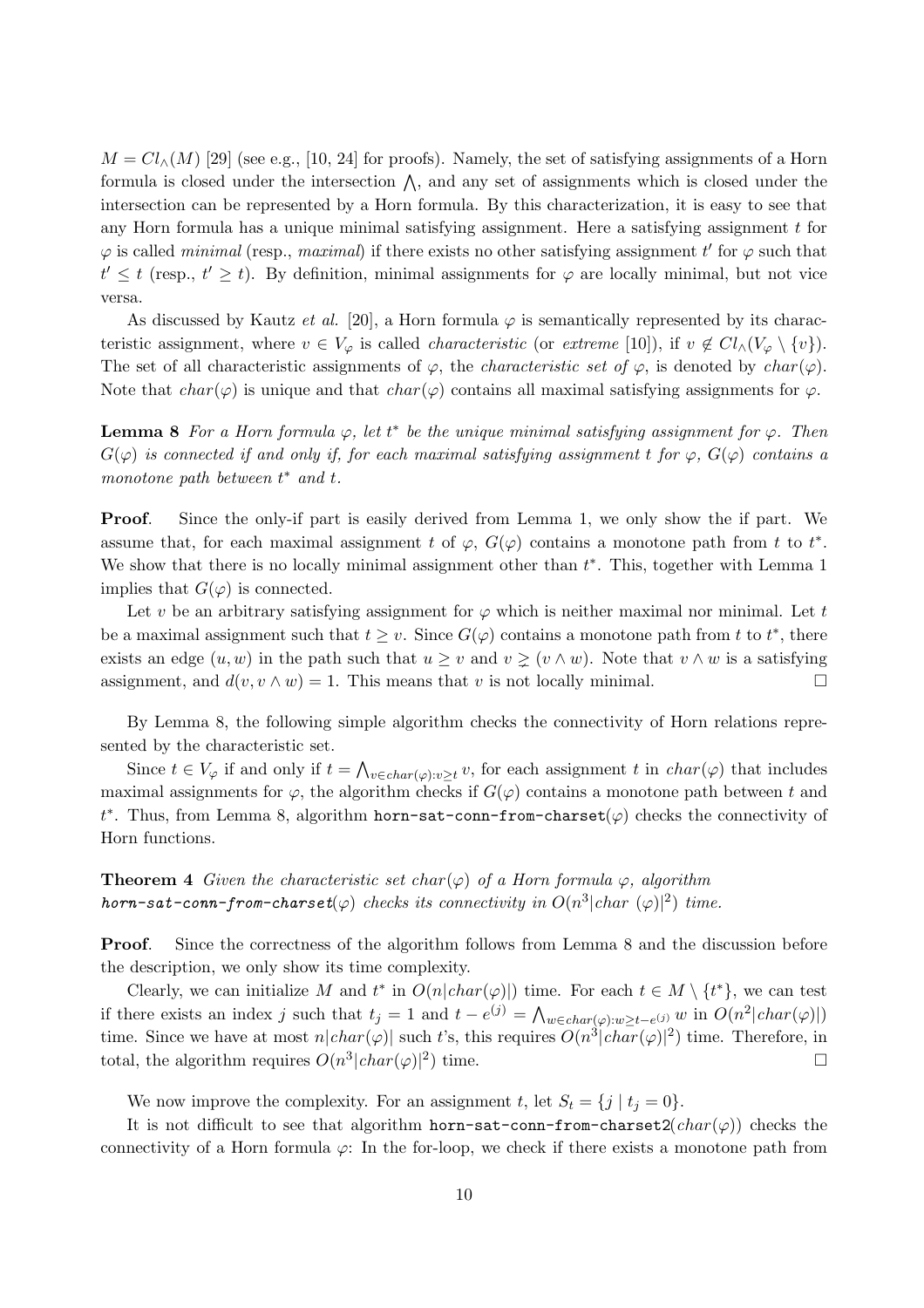$M = Cl<sub>\wedge</sub>(M)$  [29] (see e.g., [10, 24] for proofs). Namely, the set of satisfying assignments of a Horn formula is closed under the intersection  $\wedge$ , and any set of assignments which is closed under the intersection can be represented by a Horn formula. By this characterization, it is easy to see that any Horn formula has a unique minimal satisfying assignment. Here a satisfying assignment  $t$  for  $\varphi$  is called *minimal* (resp., *maximal*) if there exists no other satisfying assignment t' for  $\varphi$  such that  $t' \leq t$  (resp.,  $t' \geq t$ ). By definition, minimal assignments for  $\varphi$  are locally minimal, but not vice versa.

As discussed by Kautz et al. [20], a Horn formula  $\varphi$  is semantically represented by its characteristic assignment, where  $v \in V_{\varphi}$  is called *characteristic* (or extreme [10]), if  $v \notin Cl_{\wedge}(V_{\varphi} \setminus \{v\})$ . The set of all characteristic assignments of  $\varphi$ , the *characteristic set of*  $\varphi$ , is denoted by *char*( $\varphi$ ). Note that  $char(\varphi)$  is unique and that  $char(\varphi)$  contains all maximal satisfying assignments for  $\varphi$ .

**Lemma 8** For a Horn formula  $\varphi$ , let  $t^*$  be the unique minimal satisfying assignment for  $\varphi$ . Then  $G(\varphi)$  is connected if and only if, for each maximal satisfying assignment t for  $\varphi$ ,  $G(\varphi)$  contains a monotone path between  $t^*$  and  $t$ .

Proof. Since the only-if part is easily derived from Lemma 1, we only show the if part. We assume that, for each maximal assignment t of  $\varphi$ ,  $G(\varphi)$  contains a monotone path from t to  $t^*$ . We show that there is no locally minimal assignment other than  $t^*$ . This, together with Lemma 1 implies that  $G(\varphi)$  is connected.

Let v be an arbitrary satisfying assignment for  $\varphi$  which is neither maximal nor minimal. Let t be a maximal assignment such that  $t \geq v$ . Since  $G(\varphi)$  contains a monotone path from t to  $t^*$ , there exists an edge  $(u, w)$  in the path such that  $u \geq v$  and  $v \geq (v \wedge w)$ . Note that  $v \wedge w$  is a satisfying assignment, and  $d(v, v \wedge w) = 1$ . This means that v is not locally minimal.

By Lemma 8, the following simple algorithm checks the connectivity of Horn relations represented by the characteristic set.

Since  $t \in V_{\varphi}$  if and only if  $t = \bigwedge_{v \in char(\varphi): v \geq t} v$ , for each assignment t in  $char(\varphi)$  that includes maximal assignments for  $\varphi$ , the algorithm checks if  $G(\varphi)$  contains a monotone path between t and t<sup>\*</sup>. Thus, from Lemma 8, algorithm horn-sat-conn-from-charset( $\varphi$ ) checks the connectivity of Horn functions.

**Theorem 4** Given the characteristic set char( $\varphi$ ) of a Horn formula  $\varphi$ , algorithm horn-sat-conn-from-charset( $\varphi$ ) checks its connectivity in  $O(n^3|char~(\varphi)|^2)$  time.

Proof. Since the correctness of the algorithm follows from Lemma 8 and the discussion before the description, we only show its time complexity.

Clearly, we can initialize M and  $t^*$  in  $O(n|char(\varphi)|)$  time. For each  $t \in M \setminus \{t^*\}$ , we can test if there exists an index j such that  $t_j = 1$  and  $t - e^{(j)} = \bigwedge_{w \in char(\varphi): w \ge t - e^{(j)}} w$  in  $O(n^2 | char(\varphi)|)$ time. Since we have at most  $n|char(\varphi)|$  such t's, this requires  $O(n^3|char(\varphi)|^2)$  time. Therefore, in total, the algorithm requires  $O(n^3|char(\varphi)|^2)$  time.

We now improve the complexity. For an assignment t, let  $S_t = \{j \mid t_j = 0\}.$ 

It is not difficult to see that algorithm horn-sat-conn-from-charset2( $char(\varphi)$ ) checks the connectivity of a Horn formula  $\varphi$ : In the for-loop, we check if there exists a monotone path from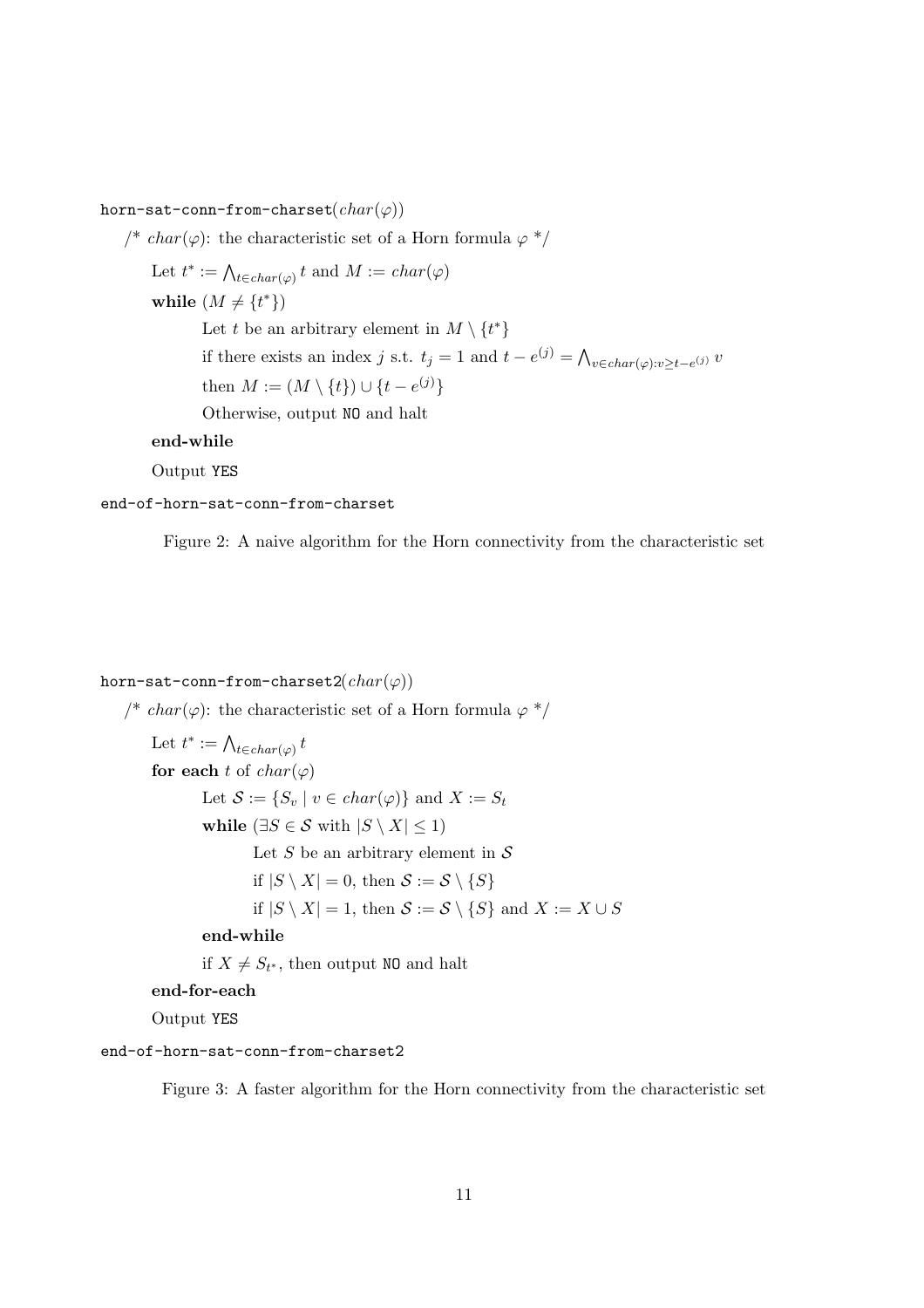horn-sat-conn-from-charset $(char(\varphi))$ 

/\* char( $\varphi$ ): the characteristic set of a Horn formula  $\varphi$  \*/ Let  $t^* := \bigwedge_{t \in char(\varphi)} t$  and  $M := char(\varphi)$ while  $(M \neq \{t^*\})$ Let t be an arbitrary element in  $M \setminus \{t^*\}$ if there exists an index j s.t.  $t_j = 1$  and  $t - e^{(j)} = \bigwedge_{v \in char(\varphi): v \ge t - e^{(j)}} v$ then  $M := (M \setminus \{t\}) \cup \{t - e^{(j)}\}$ Otherwise, output NO and halt

## end-while

Output YES

#### end-of-horn-sat-conn-from-charset

Figure 2: A naive algorithm for the Horn connectivity from the characteristic set

## horn-sat-conn-from-charset2( $char(\varphi)$ )

/\* char( $\varphi$ ): the characteristic set of a Horn formula  $\varphi$  \*/ Let  $t^* := \bigwedge_{t \in char(\varphi)} t$ for each t of  $char(\varphi)$ Let  $S := \{S_v \mid v \in char(\varphi)\}\$ and  $X := S_t$ while ( $\exists S \in \mathcal{S}$  with  $|S \setminus X| \leq 1$ ) Let S be an arbitrary element in  $S$ if  $|S \setminus X| = 0$ , then  $S := S \setminus \{S\}$ if  $|S \setminus X| = 1$ , then  $S := S \setminus \{S\}$  and  $X := X \cup S$ end-while if  $X \neq S_{t^*}$ , then output NO and halt end-for-each

Output YES

#### end-of-horn-sat-conn-from-charset2

Figure 3: A faster algorithm for the Horn connectivity from the characteristic set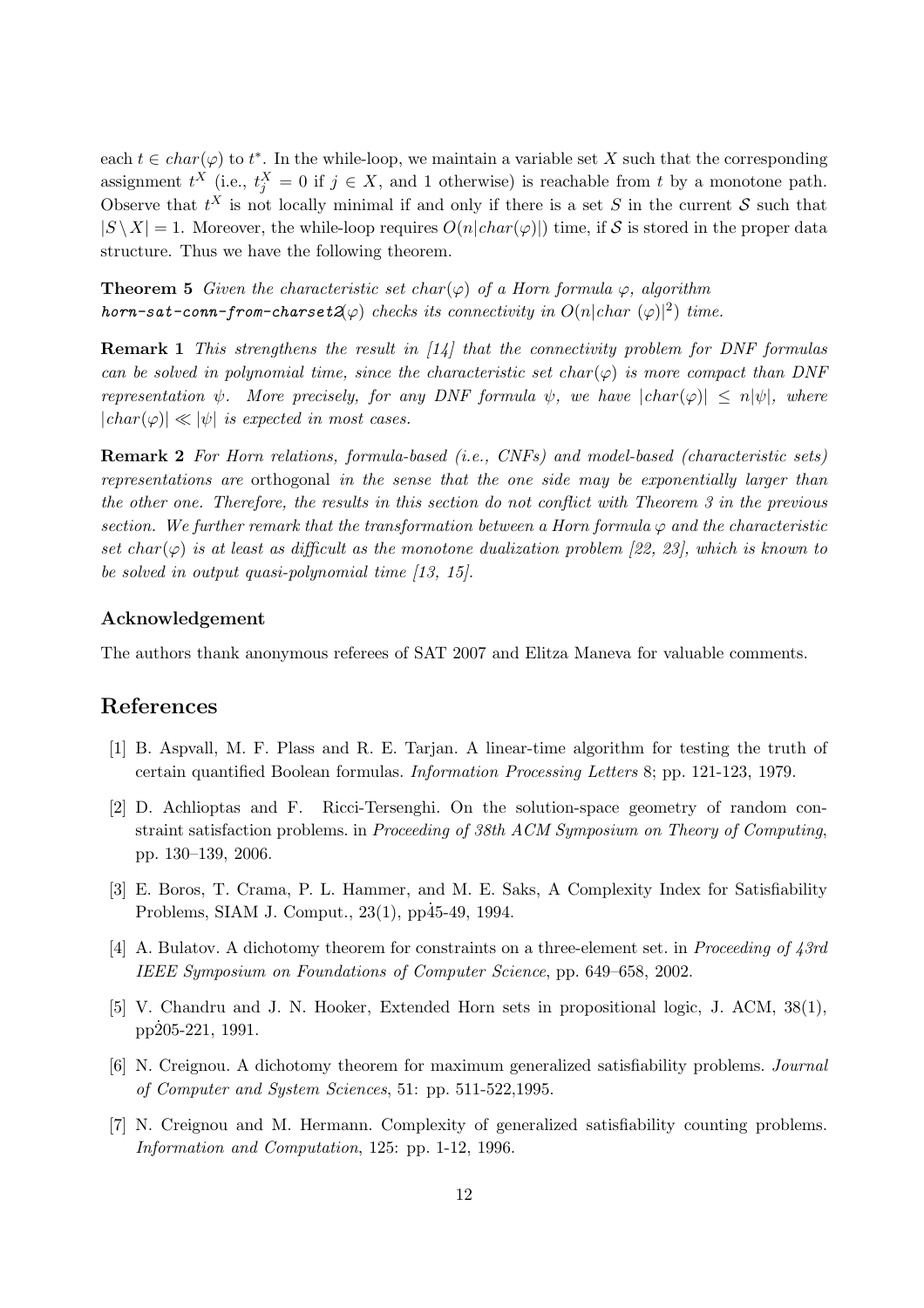each  $t \in char(\varphi)$  to  $t^*$ . In the while-loop, we maintain a variable set X such that the corresponding assignment  $t^X$  (i.e.,  $t_j^X = 0$  if  $j \in X$ , and 1 otherwise) is reachable from t by a monotone path. Observe that  $t^X$  is not locally minimal if and only if there is a set S in the current S such that  $|S \setminus X| = 1$ . Moreover, the while-loop requires  $O(n|char(\varphi)|)$  time, if S is stored in the proper data structure. Thus we have the following theorem.

**Theorem 5** Given the characteristic set char( $\varphi$ ) of a Horn formula  $\varphi$ , algorithm horn-sat-conn-from-charset $2(\varphi)$  checks its connectivity in  $O(n|char (\varphi)|^2)$  time.

**Remark 1** This strengthens the result in  $\left[14\right]$  that the connectivity problem for DNF formulas can be solved in polynomial time, since the characteristic set char( $\varphi$ ) is more compact than DNF representation  $\psi$ . More precisely, for any DNF formula  $\psi$ , we have  $|char(\varphi)| \leq n|\psi|$ , where  $|char(\varphi)| \ll |\psi|$  is expected in most cases.

Remark 2 For Horn relations, formula-based (i.e., CNFs) and model-based (characteristic sets) representations are orthogonal in the sense that the one side may be exponentially larger than the other one. Therefore, the results in this section do not conflict with Theorem 3 in the previous section. We further remark that the transformation between a Horn formula  $\varphi$  and the characteristic set char( $\varphi$ ) is at least as difficult as the monotone dualization problem [22, 23], which is known to be solved in output quasi-polynomial time [13, 15].

#### Acknowledgement

The authors thank anonymous referees of SAT 2007 and Elitza Maneva for valuable comments.

## References

- [1] B. Aspvall, M. F. Plass and R. E. Tarjan. A linear-time algorithm for testing the truth of certain quantified Boolean formulas. Information Processing Letters 8; pp. 121-123, 1979.
- [2] D. Achlioptas and F. Ricci-Tersenghi. On the solution-space geometry of random constraint satisfaction problems. in Proceeding of 38th ACM Symposium on Theory of Computing, pp. 130–139, 2006.
- [3] E. Boros, T. Crama, P. L. Hammer, and M. E. Saks, A Complexity Index for Satisfiability Problems, SIAM J. Comput.,  $23(1)$ ,  $pp\dot{4}5-49$ , 1994.
- [4] A. Bulatov. A dichotomy theorem for constraints on a three-element set. in Proceeding of 43rd IEEE Symposium on Foundations of Computer Science, pp. 649–658, 2002.
- [5] V. Chandru and J. N. Hooker, Extended Horn sets in propositional logic, J. ACM, 38(1),  $pp205-221, 1991.$
- [6] N. Creignou. A dichotomy theorem for maximum generalized satisfiability problems. Journal of Computer and System Sciences, 51: pp. 511-522,1995.
- [7] N. Creignou and M. Hermann. Complexity of generalized satisfiability counting problems. Information and Computation, 125: pp. 1-12, 1996.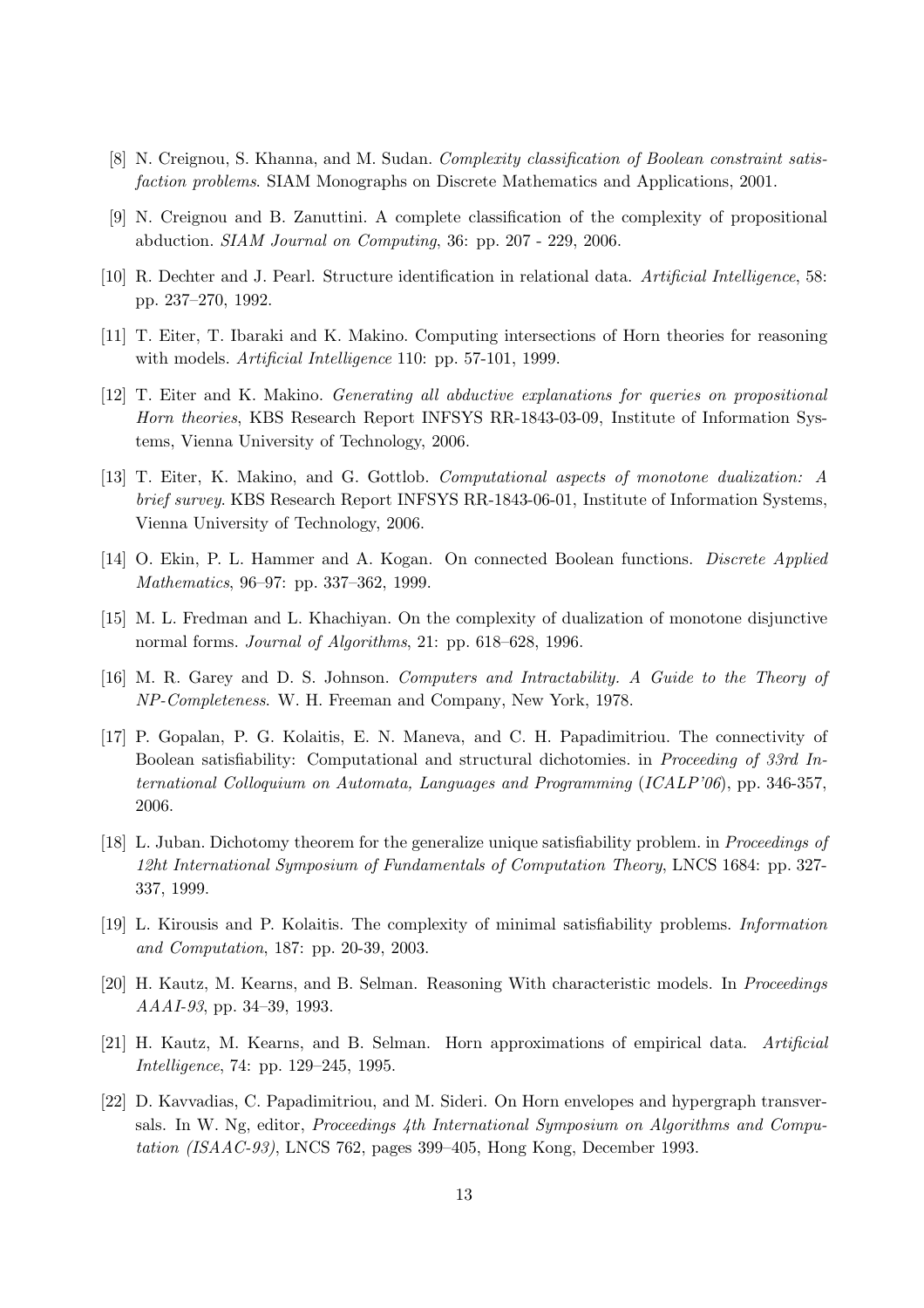- [8] N. Creignou, S. Khanna, and M. Sudan. Complexity classification of Boolean constraint satisfaction problems. SIAM Monographs on Discrete Mathematics and Applications, 2001.
- [9] N. Creignou and B. Zanuttini. A complete classification of the complexity of propositional abduction. SIAM Journal on Computing, 36: pp. 207 - 229, 2006.
- [10] R. Dechter and J. Pearl. Structure identification in relational data. Artificial Intelligence, 58: pp. 237–270, 1992.
- [11] T. Eiter, T. Ibaraki and K. Makino. Computing intersections of Horn theories for reasoning with models. *Artificial Intelligence* 110: pp. 57-101, 1999.
- [12] T. Eiter and K. Makino. Generating all abductive explanations for queries on propositional Horn theories, KBS Research Report INFSYS RR-1843-03-09, Institute of Information Systems, Vienna University of Technology, 2006.
- [13] T. Eiter, K. Makino, and G. Gottlob. Computational aspects of monotone dualization: A brief survey. KBS Research Report INFSYS RR-1843-06-01, Institute of Information Systems. Vienna University of Technology, 2006.
- [14] O. Ekin, P. L. Hammer and A. Kogan. On connected Boolean functions. Discrete Applied Mathematics, 96–97: pp. 337–362, 1999.
- [15] M. L. Fredman and L. Khachiyan. On the complexity of dualization of monotone disjunctive normal forms. Journal of Algorithms, 21: pp. 618–628, 1996.
- [16] M. R. Garey and D. S. Johnson. Computers and Intractability. A Guide to the Theory of NP-Completeness. W. H. Freeman and Company, New York, 1978.
- [17] P. Gopalan, P. G. Kolaitis, E. N. Maneva, and C. H. Papadimitriou. The connectivity of Boolean satisfiability: Computational and structural dichotomies. in Proceeding of 33rd International Colloquium on Automata, Languages and Programming (ICALP'06), pp. 346-357, 2006.
- [18] L. Juban. Dichotomy theorem for the generalize unique satisfiability problem. in *Proceedings of* 12ht International Symposium of Fundamentals of Computation Theory, LNCS 1684: pp. 327- 337, 1999.
- [19] L. Kirousis and P. Kolaitis. The complexity of minimal satisfiability problems. Information and Computation, 187: pp. 20-39, 2003.
- [20] H. Kautz, M. Kearns, and B. Selman. Reasoning With characteristic models. In Proceedings AAAI-93, pp. 34–39, 1993.
- [21] H. Kautz, M. Kearns, and B. Selman. Horn approximations of empirical data. Artificial Intelligence, 74: pp. 129–245, 1995.
- [22] D. Kavvadias, C. Papadimitriou, and M. Sideri. On Horn envelopes and hypergraph transversals. In W. Ng, editor, Proceedings 4th International Symposium on Algorithms and Computation (ISAAC-93), LNCS 762, pages 399–405, Hong Kong, December 1993.